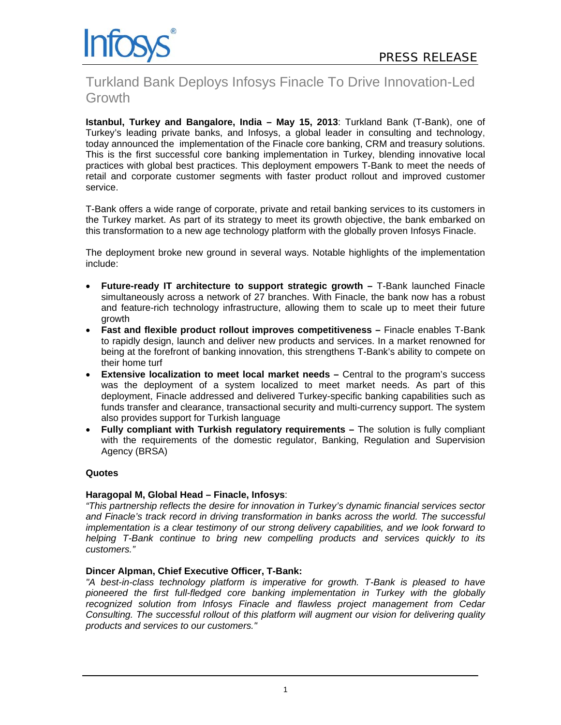

# Turkland Bank Deploys Infosys Finacle To Drive Innovation-Led Growth

**Istanbul, Turkey and Bangalore, India – May 15, 2013**: Turkland Bank (T-Bank), one of Turkey's leading private banks, and Infosys, a global leader in consulting and technology, today announced the implementation of the Finacle core banking, CRM and treasury solutions. This is the first successful core banking implementation in Turkey, blending innovative local practices with global best practices. This deployment empowers T-Bank to meet the needs of retail and corporate customer segments with faster product rollout and improved customer service.

T-Bank offers a wide range of corporate, private and retail banking services to its customers in the Turkey market. As part of its strategy to meet its growth objective, the bank embarked on this transformation to a new age technology platform with the globally proven Infosys Finacle.

The deployment broke new ground in several ways. Notable highlights of the implementation include:

- **Future-ready IT architecture to support strategic growth T-Bank launched Finacle** simultaneously across a network of 27 branches. With Finacle, the bank now has a robust and feature-rich technology infrastructure, allowing them to scale up to meet their future growth
- **Fast and flexible product rollout improves competitiveness –** Finacle enables T-Bank to rapidly design, launch and deliver new products and services. In a market renowned for being at the forefront of banking innovation, this strengthens T-Bank's ability to compete on their home turf
- **Extensive localization to meet local market needs** Central to the program's success was the deployment of a system localized to meet market needs. As part of this deployment, Finacle addressed and delivered Turkey-specific banking capabilities such as funds transfer and clearance, transactional security and multi-currency support. The system also provides support for Turkish language
- **Fully compliant with Turkish regulatory requirements –** The solution is fully compliant with the requirements of the domestic regulator, Banking, Regulation and Supervision Agency (BRSA)

### **Quotes**

### **Haragopal M, Global Head – Finacle, Infosys**:

*"This partnership reflects the desire for innovation in Turkey's dynamic financial services sector and Finacle's track record in driving transformation in banks across the world. The successful implementation is a clear testimony of our strong delivery capabilities, and we look forward to helping T-Bank continue to bring new compelling products and services quickly to its customers."* 

### **Dincer Alpman, Chief Executive Officer, T-Bank:**

*"A best-in-class technology platform is imperative for growth. T-Bank is pleased to have pioneered the first full-fledged core banking implementation in Turkey with the globally recognized solution from Infosys Finacle and flawless project management from Cedar Consulting. The successful rollout of this platform will augment our vision for delivering quality products and services to our customers."*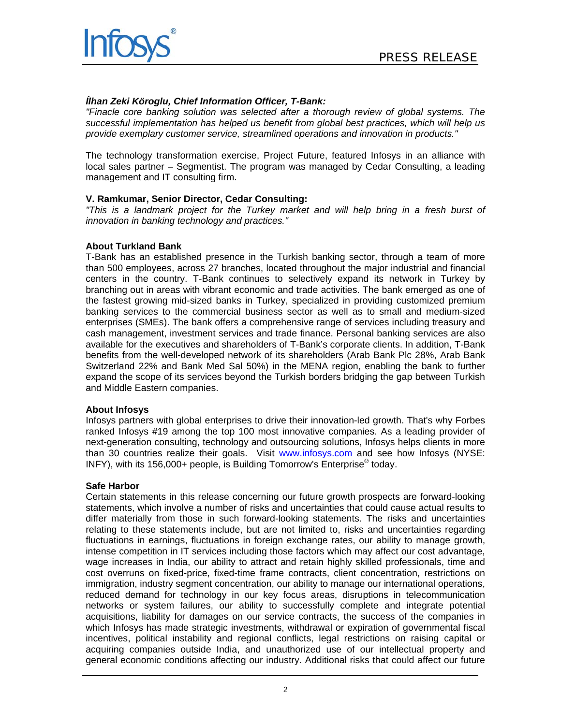



## *Ílhan Zeki Köroglu, Chief Information Officer, T-Bank:*

*"Finacle core banking solution was selected after a thorough review of global systems. The successful implementation has helped us benefit from global best practices, which will help us provide exemplary customer service, streamlined operations and innovation in products."* 

The technology transformation exercise, Project Future, featured Infosys in an alliance with local sales partner – Segmentist. The program was managed by Cedar Consulting, a leading management and IT consulting firm.

### **V. Ramkumar, Senior Director, Cedar Consulting:**

*"This is a landmark project for the Turkey market and will help bring in a fresh burst of innovation in banking technology and practices."* 

#### **About Turkland Bank**

T-Bank has an established presence in the Turkish banking sector, through a team of more than 500 employees, across 27 branches, located throughout the major industrial and financial centers in the country. T-Bank continues to selectively expand its network in Turkey by branching out in areas with vibrant economic and trade activities. The bank emerged as one of the fastest growing mid-sized banks in Turkey, specialized in providing customized premium banking services to the commercial business sector as well as to small and medium-sized enterprises (SMEs). The bank offers a comprehensive range of services including treasury and cash management, investment services and trade finance. Personal banking services are also available for the executives and shareholders of T-Bank's corporate clients. In addition, T-Bank benefits from the well-developed network of its shareholders (Arab Bank Plc 28%, Arab Bank Switzerland 22% and Bank Med Sal 50%) in the MENA region, enabling the bank to further expand the scope of its services beyond the Turkish borders bridging the gap between Turkish and Middle Eastern companies.

### **About Infosys**

Infosys partners with global enterprises to drive their innovation-led growth. That's why Forbes ranked Infosys #19 among the top 100 most innovative companies. As a leading provider of next-generation consulting, technology and outsourcing solutions, Infosys helps clients in more than 30 countries realize their goals. Visit www.infosys.com and see how Infosys (NYSE: INFY), with its 156,000+ people, is Building Tomorrow's Enterprise® today.

#### **Safe Harbor**

Certain statements in this release concerning our future growth prospects are forward-looking statements, which involve a number of risks and uncertainties that could cause actual results to differ materially from those in such forward-looking statements. The risks and uncertainties relating to these statements include, but are not limited to, risks and uncertainties regarding fluctuations in earnings, fluctuations in foreign exchange rates, our ability to manage growth, intense competition in IT services including those factors which may affect our cost advantage, wage increases in India, our ability to attract and retain highly skilled professionals, time and cost overruns on fixed-price, fixed-time frame contracts, client concentration, restrictions on immigration, industry segment concentration, our ability to manage our international operations, reduced demand for technology in our key focus areas, disruptions in telecommunication networks or system failures, our ability to successfully complete and integrate potential acquisitions, liability for damages on our service contracts, the success of the companies in which Infosys has made strategic investments, withdrawal or expiration of governmental fiscal incentives, political instability and regional conflicts, legal restrictions on raising capital or acquiring companies outside India, and unauthorized use of our intellectual property and general economic conditions affecting our industry. Additional risks that could affect our future